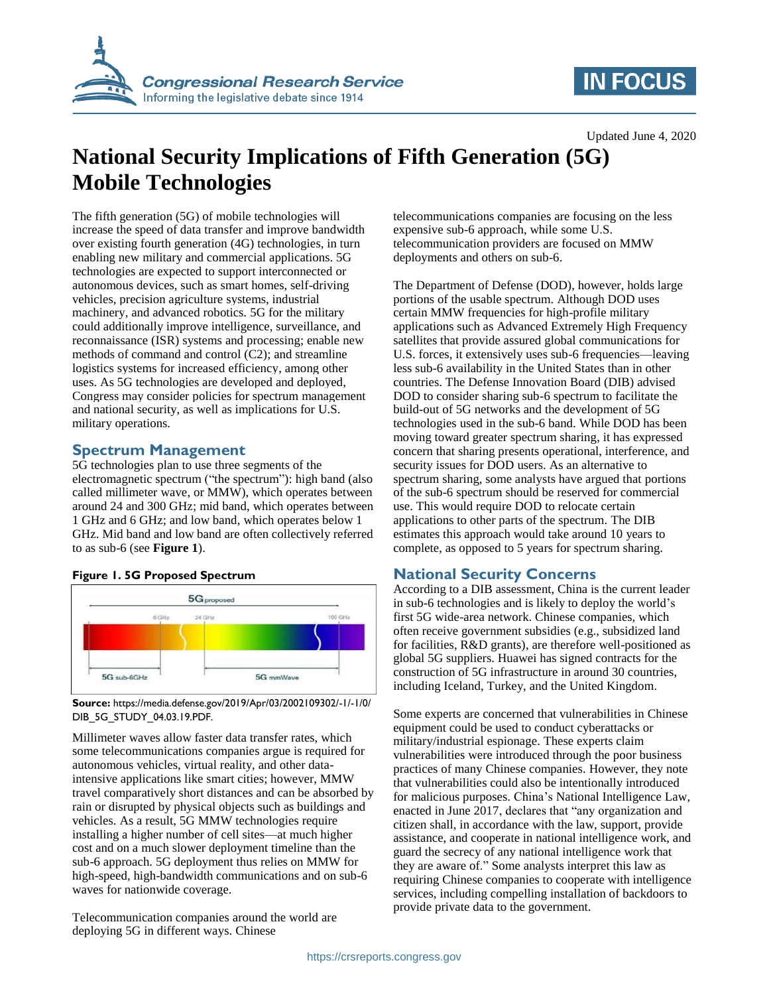

## **IN FOCUS**

Updated June 4, 2020

# **National Security Implications of Fifth Generation (5G) Mobile Technologies**

The fifth generation (5G) of mobile technologies will increase the speed of data transfer and improve bandwidth over existing fourth generation (4G) technologies, in turn enabling new military and commercial applications. 5G technologies are expected to support interconnected or autonomous devices, such as smart homes, self-driving vehicles, precision agriculture systems, industrial machinery, and advanced robotics. 5G for the military could additionally improve intelligence, surveillance, and reconnaissance (ISR) systems and processing; enable new methods of command and control (C2); and streamline logistics systems for increased efficiency, among other uses. As 5G technologies are developed and deployed, Congress may consider policies for spectrum management and national security, as well as implications for U.S. military operations.

### **Spectrum Management**

5G technologies plan to use three segments of the electromagnetic spectrum ("the spectrum"): high band (also called millimeter wave, or MMW), which operates between around 24 and 300 GHz; mid band, which operates between 1 GHz and 6 GHz; and low band, which operates below 1 GHz. Mid band and low band are often collectively referred to as sub-6 (see **[Figure 1](#page-0-0)**).



#### <span id="page-0-0"></span>**Figure 1. 5G Proposed Spectrum**

**Source:** https://media.defense.gov/2019/Apr/03/2002109302/-1/-1/0/ DIB\_5G\_STUDY\_04.03.19.PDF.

Millimeter waves allow faster data transfer rates, which some telecommunications companies argue is required for autonomous vehicles, virtual reality, and other dataintensive applications like smart cities; however, MMW travel comparatively short distances and can be absorbed by rain or disrupted by physical objects such as buildings and vehicles. As a result, 5G MMW technologies require installing a higher number of cell sites—at much higher cost and on a much slower deployment timeline than the sub-6 approach. 5G deployment thus relies on MMW for high-speed, high-bandwidth communications and on sub-6 waves for nationwide coverage.

Telecommunication companies around the world are deploying 5G in different ways. Chinese

telecommunications companies are focusing on the less expensive sub-6 approach, while some U.S. telecommunication providers are focused on MMW deployments and others on sub-6.

The Department of Defense (DOD), however, holds large portions of the usable spectrum. Although DOD uses certain MMW frequencies for high-profile military applications such as Advanced Extremely High Frequency satellites that provide assured global communications for U.S. forces, it extensively uses sub-6 frequencies—leaving less sub-6 availability in the United States than in other countries. The Defense Innovation Board (DIB) advised DOD to consider sharing sub-6 spectrum to facilitate the build-out of 5G networks and the development of 5G technologies used in the sub-6 band. While DOD has been moving toward greater spectrum sharing, it has expressed concern that sharing presents operational, interference, and security issues for DOD users. As an alternative to spectrum sharing, some analysts have argued that portions of the sub-6 spectrum should be reserved for commercial use. This would require DOD to relocate certain applications to other parts of the spectrum. The DIB estimates this approach would take around 10 years to complete, as opposed to 5 years for spectrum sharing.

### **National Security Concerns**

According to a DIB assessment, China is the current leader in sub-6 technologies and is likely to deploy the world's first 5G wide-area network. Chinese companies, which often receive government subsidies (e.g., subsidized land for facilities, R&D grants), are therefore well-positioned as global 5G suppliers. Huawei has signed contracts for the construction of 5G infrastructure in around 30 countries, including Iceland, Turkey, and the United Kingdom.

Some experts are concerned that vulnerabilities in Chinese equipment could be used to conduct cyberattacks or military/industrial espionage. These experts claim vulnerabilities were introduced through the poor business practices of many Chinese companies. However, they note that vulnerabilities could also be intentionally introduced for malicious purposes. China's National Intelligence Law, enacted in June 2017, declares that "any organization and citizen shall, in accordance with the law, support, provide assistance, and cooperate in national intelligence work, and guard the secrecy of any national intelligence work that they are aware of." Some analysts interpret this law as requiring Chinese companies to cooperate with intelligence services, including compelling installation of backdoors to provide private data to the government.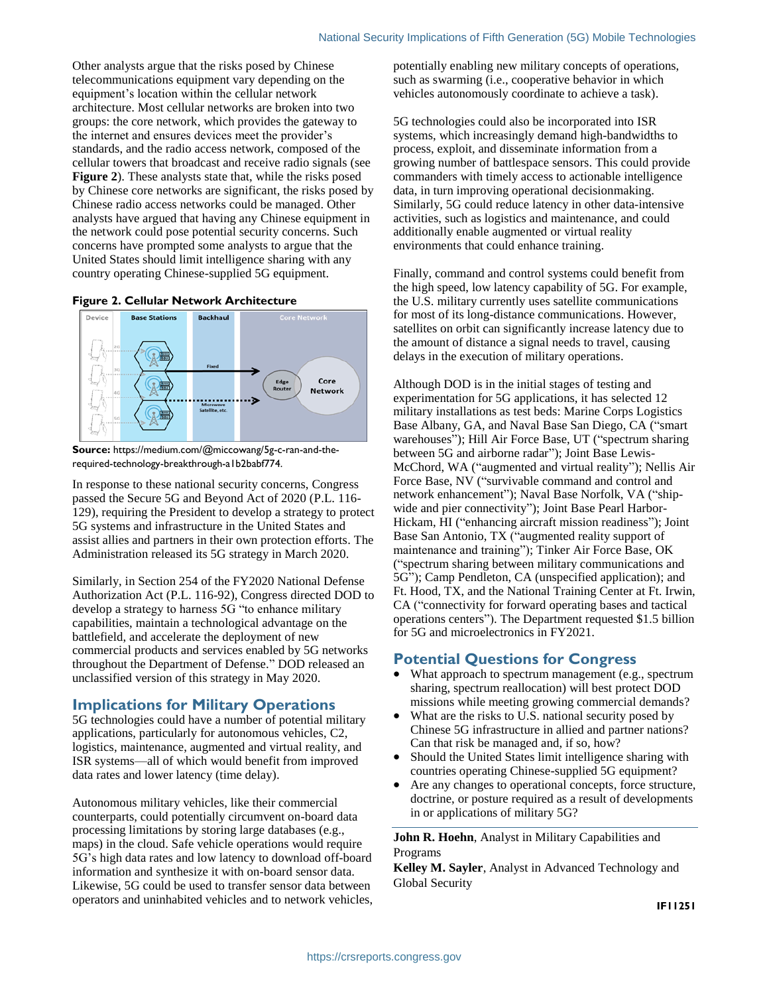Other analysts argue that the risks posed by Chinese telecommunications equipment vary depending on the equipment's location within the cellular network architecture. Most cellular networks are broken into two groups: the core network, which provides the gateway to the internet and ensures devices meet the provider's standards, and the radio access network, composed of the cellular towers that broadcast and receive radio signals (see **[Figure 2](#page-1-0)**). These analysts state that, while the risks posed by Chinese core networks are significant, the risks posed by Chinese radio access networks could be managed. Other analysts have argued that having any Chinese equipment in the network could pose potential security concerns. Such concerns have prompted some analysts to argue that the United States should limit intelligence sharing with any country operating Chinese-supplied 5G equipment.

#### <span id="page-1-0"></span>**Figure 2. Cellular Network Architecture**



**Source:** https://medium.com/@miccowang/5g-c-ran-and-therequired-technology-breakthrough-a1b2babf774.

In response to these national security concerns, Congress passed the Secure 5G and Beyond Act of 2020 (P.L. 116- 129), requiring the President to develop a strategy to protect 5G systems and infrastructure in the United States and assist allies and partners in their own protection efforts. The Administration released its 5G strategy in March 2020.

Similarly, in Section 254 of the FY2020 National Defense Authorization Act (P.L. 116-92), Congress directed DOD to develop a strategy to harness 5G "to enhance military capabilities, maintain a technological advantage on the battlefield, and accelerate the deployment of new commercial products and services enabled by 5G networks throughout the Department of Defense." DOD released an unclassified version of this strategy in May 2020.

#### **Implications for Military Operations**

5G technologies could have a number of potential military applications, particularly for autonomous vehicles, C2, logistics, maintenance, augmented and virtual reality, and ISR systems—all of which would benefit from improved data rates and lower latency (time delay).

Autonomous military vehicles, like their commercial counterparts, could potentially circumvent on-board data processing limitations by storing large databases (e.g., maps) in the cloud. Safe vehicle operations would require 5G's high data rates and low latency to download off-board information and synthesize it with on-board sensor data. Likewise, 5G could be used to transfer sensor data between operators and uninhabited vehicles and to network vehicles, potentially enabling new military concepts of operations, such as swarming (i.e., cooperative behavior in which vehicles autonomously coordinate to achieve a task).

5G technologies could also be incorporated into ISR systems, which increasingly demand high-bandwidths to process, exploit, and disseminate information from a growing number of battlespace sensors. This could provide commanders with timely access to actionable intelligence data, in turn improving operational decisionmaking. Similarly, 5G could reduce latency in other data-intensive activities, such as logistics and maintenance, and could additionally enable augmented or virtual reality environments that could enhance training.

Finally, command and control systems could benefit from the high speed, low latency capability of 5G. For example, the U.S. military currently uses satellite communications for most of its long-distance communications. However, satellites on orbit can significantly increase latency due to the amount of distance a signal needs to travel, causing delays in the execution of military operations.

Although DOD is in the initial stages of testing and experimentation for 5G applications, it has selected 12 military installations as test beds: Marine Corps Logistics Base Albany, GA, and Naval Base San Diego, CA ("smart warehouses"); Hill Air Force Base, UT ("spectrum sharing between 5G and airborne radar"); Joint Base Lewis-McChord, WA ("augmented and virtual reality"); Nellis Air Force Base, NV ("survivable command and control and network enhancement"); Naval Base Norfolk, VA ("shipwide and pier connectivity"); Joint Base Pearl Harbor-Hickam, HI ("enhancing aircraft mission readiness"); Joint Base San Antonio, TX ("augmented reality support of maintenance and training"); Tinker Air Force Base, OK ("spectrum sharing between military communications and 5G"); Camp Pendleton, CA (unspecified application); and Ft. Hood, TX, and the National Training Center at Ft. Irwin, CA ("connectivity for forward operating bases and tactical operations centers"). The Department requested \$1.5 billion for 5G and microelectronics in FY2021.

#### **Potential Questions for Congress**

- What approach to spectrum management (e.g., spectrum sharing, spectrum reallocation) will best protect DOD missions while meeting growing commercial demands?
- What are the risks to U.S. national security posed by Chinese 5G infrastructure in allied and partner nations? Can that risk be managed and, if so, how?
- Should the United States limit intelligence sharing with countries operating Chinese-supplied 5G equipment?
- Are any changes to operational concepts, force structure, doctrine, or posture required as a result of developments in or applications of military 5G?

**John R. Hoehn**, Analyst in Military Capabilities and Programs

**Kelley M. Sayler**, Analyst in Advanced Technology and Global Security